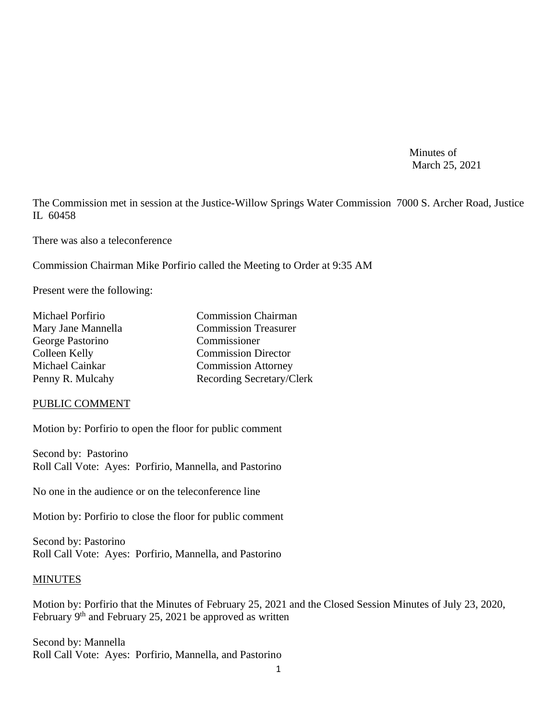Minutes of March 25, 2021

The Commission met in session at the Justice-Willow Springs Water Commission 7000 S. Archer Road, Justice IL 60458

There was also a teleconference

Commission Chairman Mike Porfirio called the Meeting to Order at 9:35 AM

Present were the following:

| Michael Porfirio   | <b>Commission Chairman</b>  |
|--------------------|-----------------------------|
| Mary Jane Mannella | <b>Commission Treasurer</b> |
| George Pastorino   | Commissioner                |
| Colleen Kelly      | <b>Commission Director</b>  |
| Michael Cainkar    | <b>Commission Attorney</b>  |
| Penny R. Mulcahy   | Recording Secretary/Clerk   |

#### PUBLIC COMMENT

Motion by: Porfirio to open the floor for public comment

Second by: Pastorino Roll Call Vote: Ayes: Porfirio, Mannella, and Pastorino

No one in the audience or on the teleconference line

Motion by: Porfirio to close the floor for public comment

Second by: Pastorino Roll Call Vote: Ayes: Porfirio, Mannella, and Pastorino

#### **MINUTES**

Motion by: Porfirio that the Minutes of February 25, 2021 and the Closed Session Minutes of July 23, 2020, February 9<sup>th</sup> and February 25, 2021 be approved as written

Second by: Mannella Roll Call Vote: Ayes: Porfirio, Mannella, and Pastorino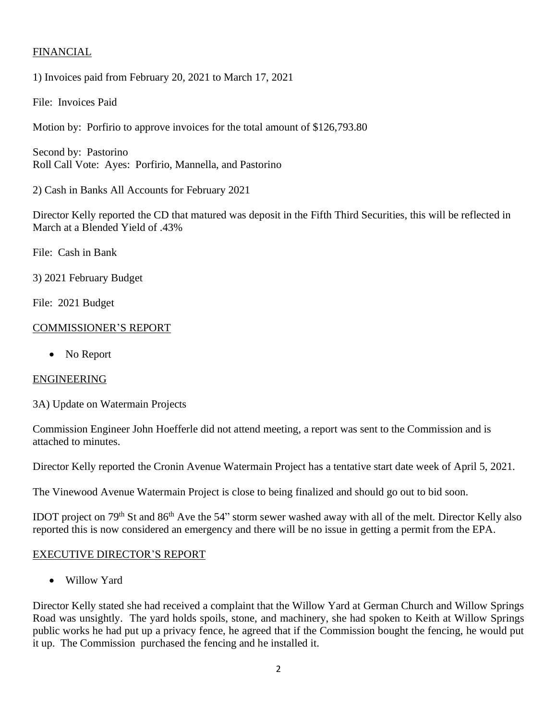# FINANCIAL

1) Invoices paid from February 20, 2021 to March 17, 2021

File: Invoices Paid

Motion by: Porfirio to approve invoices for the total amount of \$126,793.80

Second by: Pastorino Roll Call Vote: Ayes: Porfirio, Mannella, and Pastorino

2) Cash in Banks All Accounts for February 2021

Director Kelly reported the CD that matured was deposit in the Fifth Third Securities, this will be reflected in March at a Blended Yield of .43%

File: Cash in Bank

3) 2021 February Budget

File: 2021 Budget

## COMMISSIONER'S REPORT

• No Report

## ENGINEERING

3A) Update on Watermain Projects

Commission Engineer John Hoefferle did not attend meeting, a report was sent to the Commission and is attached to minutes.

Director Kelly reported the Cronin Avenue Watermain Project has a tentative start date week of April 5, 2021.

The Vinewood Avenue Watermain Project is close to being finalized and should go out to bid soon.

IDOT project on 79th St and 86th Ave the 54" storm sewer washed away with all of the melt. Director Kelly also reported this is now considered an emergency and there will be no issue in getting a permit from the EPA.

## EXECUTIVE DIRECTOR'S REPORT

• Willow Yard

Director Kelly stated she had received a complaint that the Willow Yard at German Church and Willow Springs Road was unsightly. The yard holds spoils, stone, and machinery, she had spoken to Keith at Willow Springs public works he had put up a privacy fence, he agreed that if the Commission bought the fencing, he would put it up. The Commission purchased the fencing and he installed it.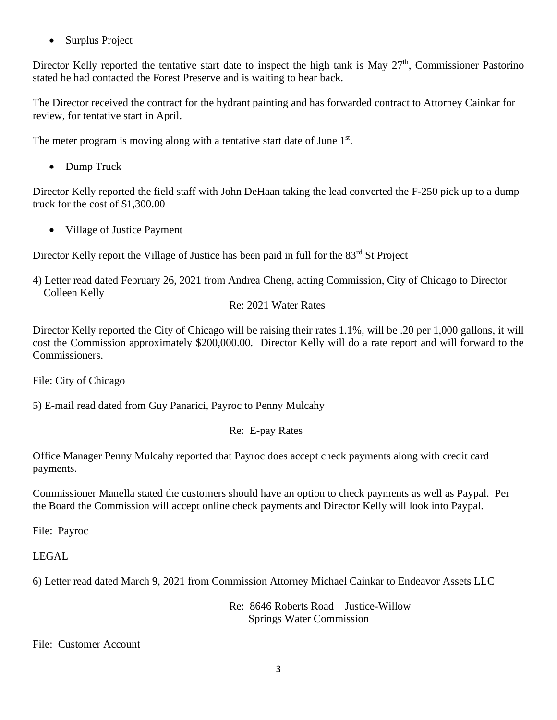• Surplus Project

Director Kelly reported the tentative start date to inspect the high tank is May 27<sup>th</sup>, Commissioner Pastorino stated he had contacted the Forest Preserve and is waiting to hear back.

The Director received the contract for the hydrant painting and has forwarded contract to Attorney Cainkar for review, for tentative start in April.

The meter program is moving along with a tentative start date of June  $1<sup>st</sup>$ .

• Dump Truck

Director Kelly reported the field staff with John DeHaan taking the lead converted the F-250 pick up to a dump truck for the cost of \$1,300.00

• Village of Justice Payment

Director Kelly report the Village of Justice has been paid in full for the 83<sup>rd</sup> St Project

4) Letter read dated February 26, 2021 from Andrea Cheng, acting Commission, City of Chicago to Director Colleen Kelly

# Re: 2021 Water Rates

Director Kelly reported the City of Chicago will be raising their rates 1.1%, will be .20 per 1,000 gallons, it will cost the Commission approximately \$200,000.00. Director Kelly will do a rate report and will forward to the Commissioners.

File: City of Chicago

5) E-mail read dated from Guy Panarici, Payroc to Penny Mulcahy

Re: E-pay Rates

Office Manager Penny Mulcahy reported that Payroc does accept check payments along with credit card payments.

Commissioner Manella stated the customers should have an option to check payments as well as Paypal. Per the Board the Commission will accept online check payments and Director Kelly will look into Paypal.

File: Payroc

# LEGAL

6) Letter read dated March 9, 2021 from Commission Attorney Michael Cainkar to Endeavor Assets LLC

Re: 8646 Roberts Road – Justice-Willow Springs Water Commission

File: Customer Account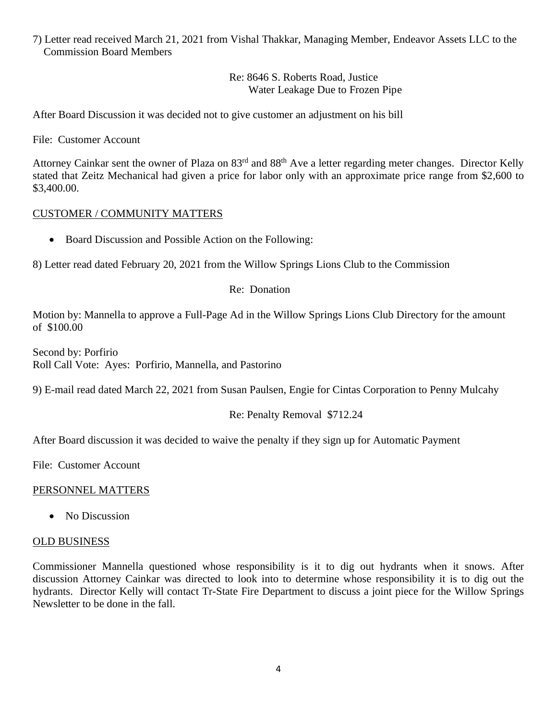7) Letter read received March 21, 2021 from Vishal Thakkar, Managing Member, Endeavor Assets LLC to the Commission Board Members

> Re: 8646 S. Roberts Road, Justice Water Leakage Due to Frozen Pipe

After Board Discussion it was decided not to give customer an adjustment on his bill

File: Customer Account

Attorney Cainkar sent the owner of Plaza on 83<sup>rd</sup> and 88<sup>th</sup> Ave a letter regarding meter changes. Director Kelly stated that Zeitz Mechanical had given a price for labor only with an approximate price range from \$2,600 to \$3,400.00.

### CUSTOMER / COMMUNITY MATTERS

• Board Discussion and Possible Action on the Following:

8) Letter read dated February 20, 2021 from the Willow Springs Lions Club to the Commission

Re: Donation

Motion by: Mannella to approve a Full-Page Ad in the Willow Springs Lions Club Directory for the amount of \$100.00

Second by: Porfirio Roll Call Vote: Ayes: Porfirio, Mannella, and Pastorino

9) E-mail read dated March 22, 2021 from Susan Paulsen, Engie for Cintas Corporation to Penny Mulcahy

### Re: Penalty Removal \$712.24

After Board discussion it was decided to waive the penalty if they sign up for Automatic Payment

File: Customer Account

### PERSONNEL MATTERS

• No Discussion

#### OLD BUSINESS

Commissioner Mannella questioned whose responsibility is it to dig out hydrants when it snows. After discussion Attorney Cainkar was directed to look into to determine whose responsibility it is to dig out the hydrants. Director Kelly will contact Tr-State Fire Department to discuss a joint piece for the Willow Springs Newsletter to be done in the fall.